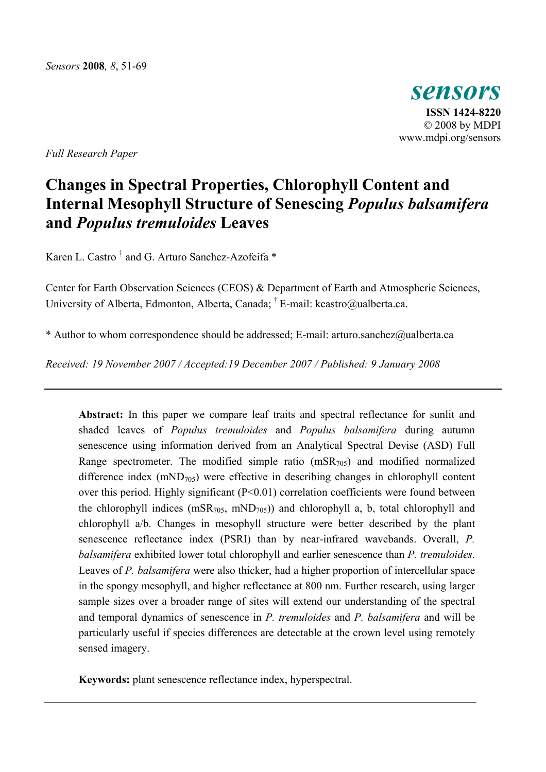

*Full Research Paper* 

# **Changes in Spectral Properties, Chlorophyll Content and Internal Mesophyll Structure of Senescing** *Populus balsamifera* **and** *Populus tremuloides* **Leaves**

Karen L. Castro<sup>†</sup> and G. Arturo Sanchez-Azofeifa \*

Center for Earth Observation Sciences (CEOS) & Department of Earth and Atmospheric Sciences, University of Alberta, Edmonton, Alberta, Canada; † E-mail: kcastro@ualberta.ca.

\* Author to whom correspondence should be addressed; E-mail: arturo.sanchez@ualberta.ca

*Received: 19 November 2007 / Accepted:19 December 2007 / Published: 9 January 2008* 

**Abstract:** In this paper we compare leaf traits and spectral reflectance for sunlit and shaded leaves of *Populus tremuloides* and *Populus balsamifera* during autumn senescence using information derived from an Analytical Spectral Devise (ASD) Full Range spectrometer. The modified simple ratio  $(mSR_{705})$  and modified normalized difference index  $(mND<sub>705</sub>)$  were effective in describing changes in chlorophyll content over this period. Highly significant (P<0.01) correlation coefficients were found between the chlorophyll indices  $(mSR<sub>705</sub>, mND<sub>705</sub>)$  and chlorophyll a, b, total chlorophyll and chlorophyll a/b. Changes in mesophyll structure were better described by the plant senescence reflectance index (PSRI) than by near-infrared wavebands. Overall, *P. balsamifera* exhibited lower total chlorophyll and earlier senescence than *P. tremuloides*. Leaves of *P. balsamifera* were also thicker, had a higher proportion of intercellular space in the spongy mesophyll, and higher reflectance at 800 nm. Further research, using larger sample sizes over a broader range of sites will extend our understanding of the spectral and temporal dynamics of senescence in *P. tremuloides* and *P. balsamifera* and will be particularly useful if species differences are detectable at the crown level using remotely sensed imagery.

**Keywords:** plant senescence reflectance index, hyperspectral.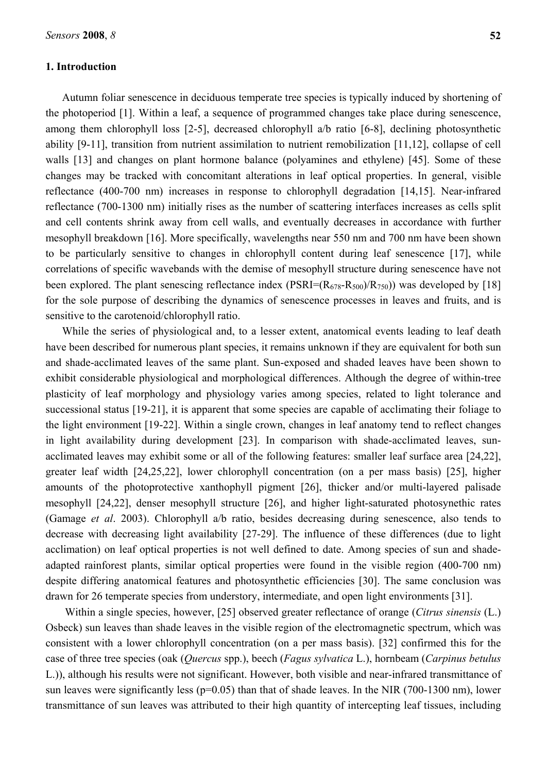# **1. Introduction**

Autumn foliar senescence in deciduous temperate tree species is typically induced by shortening of the photoperiod [1]. Within a leaf, a sequence of programmed changes take place during senescence, among them chlorophyll loss [2-5], decreased chlorophyll a/b ratio [6-8], declining photosynthetic ability [9-11], transition from nutrient assimilation to nutrient remobilization [11,12], collapse of cell walls [13] and changes on plant hormone balance (polyamines and ethylene) [45]. Some of these changes may be tracked with concomitant alterations in leaf optical properties. In general, visible reflectance (400-700 nm) increases in response to chlorophyll degradation [14,15]. Near-infrared reflectance (700-1300 nm) initially rises as the number of scattering interfaces increases as cells split and cell contents shrink away from cell walls, and eventually decreases in accordance with further mesophyll breakdown [16]. More specifically, wavelengths near 550 nm and 700 nm have been shown to be particularly sensitive to changes in chlorophyll content during leaf senescence [17], while correlations of specific wavebands with the demise of mesophyll structure during senescence have not been explored. The plant senescing reflectance index  $(PSRI=(R_{678}-R_{500})/R_{750})$  was developed by [18] for the sole purpose of describing the dynamics of senescence processes in leaves and fruits, and is sensitive to the carotenoid/chlorophyll ratio.

While the series of physiological and, to a lesser extent, anatomical events leading to leaf death have been described for numerous plant species, it remains unknown if they are equivalent for both sun and shade-acclimated leaves of the same plant. Sun-exposed and shaded leaves have been shown to exhibit considerable physiological and morphological differences. Although the degree of within-tree plasticity of leaf morphology and physiology varies among species, related to light tolerance and successional status [19-21], it is apparent that some species are capable of acclimating their foliage to the light environment [19-22]. Within a single crown, changes in leaf anatomy tend to reflect changes in light availability during development [23]. In comparison with shade-acclimated leaves, sunacclimated leaves may exhibit some or all of the following features: smaller leaf surface area [24,22], greater leaf width [24,25,22], lower chlorophyll concentration (on a per mass basis) [25], higher amounts of the photoprotective xanthophyll pigment [26], thicker and/or multi-layered palisade mesophyll [24,22], denser mesophyll structure [26], and higher light-saturated photosynethic rates (Gamage *et al*. 2003). Chlorophyll a/b ratio, besides decreasing during senescence, also tends to decrease with decreasing light availability [27-29]. The influence of these differences (due to light acclimation) on leaf optical properties is not well defined to date. Among species of sun and shadeadapted rainforest plants, similar optical properties were found in the visible region (400-700 nm) despite differing anatomical features and photosynthetic efficiencies [30]. The same conclusion was drawn for 26 temperate species from understory, intermediate, and open light environments [31].

 Within a single species, however, [25] observed greater reflectance of orange (*Citrus sinensis* (L.) Osbeck) sun leaves than shade leaves in the visible region of the electromagnetic spectrum, which was consistent with a lower chlorophyll concentration (on a per mass basis). [32] confirmed this for the case of three tree species (oak (*Quercus* spp.), beech (*Fagus sylvatica* L.), hornbeam (*Carpinus betulus* L.)), although his results were not significant. However, both visible and near-infrared transmittance of sun leaves were significantly less ( $p=0.05$ ) than that of shade leaves. In the NIR (700-1300 nm), lower transmittance of sun leaves was attributed to their high quantity of intercepting leaf tissues, including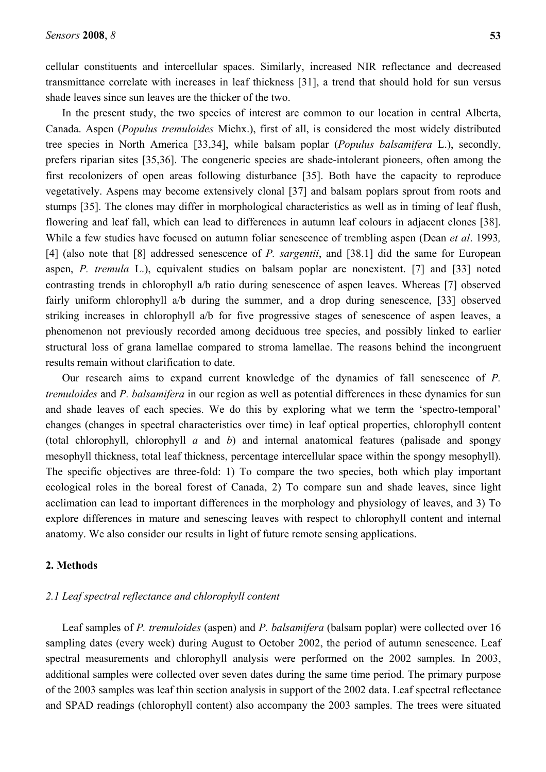cellular constituents and intercellular spaces. Similarly, increased NIR reflectance and decreased transmittance correlate with increases in leaf thickness [31], a trend that should hold for sun versus shade leaves since sun leaves are the thicker of the two.

In the present study, the two species of interest are common to our location in central Alberta, Canada. Aspen (*Populus tremuloides* Michx.), first of all, is considered the most widely distributed tree species in North America [33,34], while balsam poplar (*Populus balsamifera* L.), secondly, prefers riparian sites [35,36]. The congeneric species are shade-intolerant pioneers, often among the first recolonizers of open areas following disturbance [35]. Both have the capacity to reproduce vegetatively. Aspens may become extensively clonal [37] and balsam poplars sprout from roots and stumps [35]. The clones may differ in morphological characteristics as well as in timing of leaf flush, flowering and leaf fall, which can lead to differences in autumn leaf colours in adjacent clones [38]. While a few studies have focused on autumn foliar senescence of trembling aspen (Dean *et al*. 1993*,* [4] (also note that [8] addressed senescence of *P. sargentii*, and [38.1] did the same for European aspen, *P. tremula* L.), equivalent studies on balsam poplar are nonexistent. [7] and [33] noted contrasting trends in chlorophyll a/b ratio during senescence of aspen leaves. Whereas [7] observed fairly uniform chlorophyll a/b during the summer, and a drop during senescence, [33] observed striking increases in chlorophyll a/b for five progressive stages of senescence of aspen leaves, a phenomenon not previously recorded among deciduous tree species, and possibly linked to earlier structural loss of grana lamellae compared to stroma lamellae. The reasons behind the incongruent results remain without clarification to date.

Our research aims to expand current knowledge of the dynamics of fall senescence of *P. tremuloides* and *P. balsamifera* in our region as well as potential differences in these dynamics for sun and shade leaves of each species. We do this by exploring what we term the 'spectro-temporal' changes (changes in spectral characteristics over time) in leaf optical properties, chlorophyll content (total chlorophyll, chlorophyll *a* and *b*) and internal anatomical features (palisade and spongy mesophyll thickness, total leaf thickness, percentage intercellular space within the spongy mesophyll). The specific objectives are three-fold: 1) To compare the two species, both which play important ecological roles in the boreal forest of Canada, 2) To compare sun and shade leaves, since light acclimation can lead to important differences in the morphology and physiology of leaves, and 3) To explore differences in mature and senescing leaves with respect to chlorophyll content and internal anatomy. We also consider our results in light of future remote sensing applications.

#### **2. Methods**

# *2.1 Leaf spectral reflectance and chlorophyll content*

Leaf samples of *P. tremuloides* (aspen) and *P. balsamifera* (balsam poplar) were collected over 16 sampling dates (every week) during August to October 2002, the period of autumn senescence. Leaf spectral measurements and chlorophyll analysis were performed on the 2002 samples. In 2003, additional samples were collected over seven dates during the same time period. The primary purpose of the 2003 samples was leaf thin section analysis in support of the 2002 data. Leaf spectral reflectance and SPAD readings (chlorophyll content) also accompany the 2003 samples. The trees were situated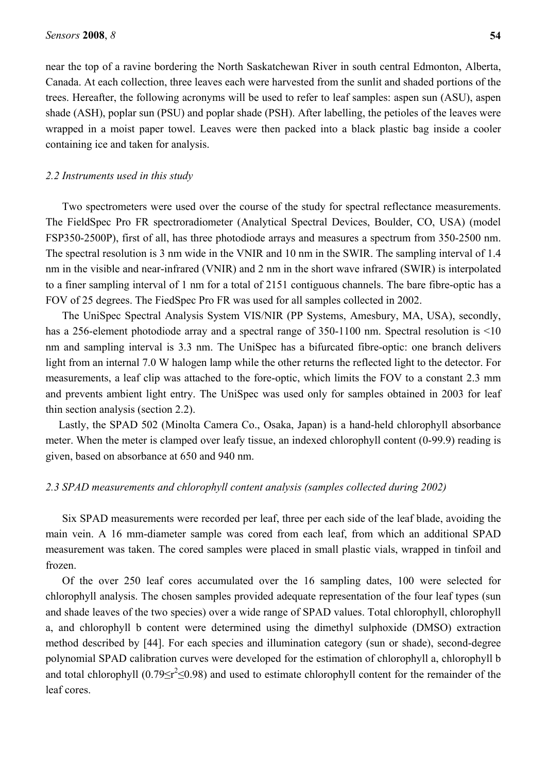near the top of a ravine bordering the North Saskatchewan River in south central Edmonton, Alberta, Canada. At each collection, three leaves each were harvested from the sunlit and shaded portions of the trees. Hereafter, the following acronyms will be used to refer to leaf samples: aspen sun (ASU), aspen shade (ASH), poplar sun (PSU) and poplar shade (PSH). After labelling, the petioles of the leaves were wrapped in a moist paper towel. Leaves were then packed into a black plastic bag inside a cooler containing ice and taken for analysis.

#### *2.2 Instruments used in this study*

Two spectrometers were used over the course of the study for spectral reflectance measurements. The FieldSpec Pro FR spectroradiometer (Analytical Spectral Devices, Boulder, CO, USA) (model FSP350-2500P), first of all, has three photodiode arrays and measures a spectrum from 350-2500 nm. The spectral resolution is 3 nm wide in the VNIR and 10 nm in the SWIR. The sampling interval of 1.4 nm in the visible and near-infrared (VNIR) and 2 nm in the short wave infrared (SWIR) is interpolated to a finer sampling interval of 1 nm for a total of 2151 contiguous channels. The bare fibre-optic has a FOV of 25 degrees. The FiedSpec Pro FR was used for all samples collected in 2002.

The UniSpec Spectral Analysis System VIS/NIR (PP Systems, Amesbury, MA, USA), secondly, has a 256-element photodiode array and a spectral range of 350-1100 nm. Spectral resolution is <10 nm and sampling interval is 3.3 nm. The UniSpec has a bifurcated fibre-optic: one branch delivers light from an internal 7.0 W halogen lamp while the other returns the reflected light to the detector. For measurements, a leaf clip was attached to the fore-optic, which limits the FOV to a constant 2.3 mm and prevents ambient light entry. The UniSpec was used only for samples obtained in 2003 for leaf thin section analysis (section 2.2).

Lastly, the SPAD 502 (Minolta Camera Co., Osaka, Japan) is a hand-held chlorophyll absorbance meter. When the meter is clamped over leafy tissue, an indexed chlorophyll content (0-99.9) reading is given, based on absorbance at 650 and 940 nm.

# *2.3 SPAD measurements and chlorophyll content analysis (samples collected during 2002)*

Six SPAD measurements were recorded per leaf, three per each side of the leaf blade, avoiding the main vein. A 16 mm-diameter sample was cored from each leaf, from which an additional SPAD measurement was taken. The cored samples were placed in small plastic vials, wrapped in tinfoil and frozen.

Of the over 250 leaf cores accumulated over the 16 sampling dates, 100 were selected for chlorophyll analysis. The chosen samples provided adequate representation of the four leaf types (sun and shade leaves of the two species) over a wide range of SPAD values. Total chlorophyll, chlorophyll a, and chlorophyll b content were determined using the dimethyl sulphoxide (DMSO) extraction method described by [44]. For each species and illumination category (sun or shade), second-degree polynomial SPAD calibration curves were developed for the estimation of chlorophyll a, chlorophyll b and total chlorophyll  $(0.79 \le r^2 \le 0.98)$  and used to estimate chlorophyll content for the remainder of the leaf cores.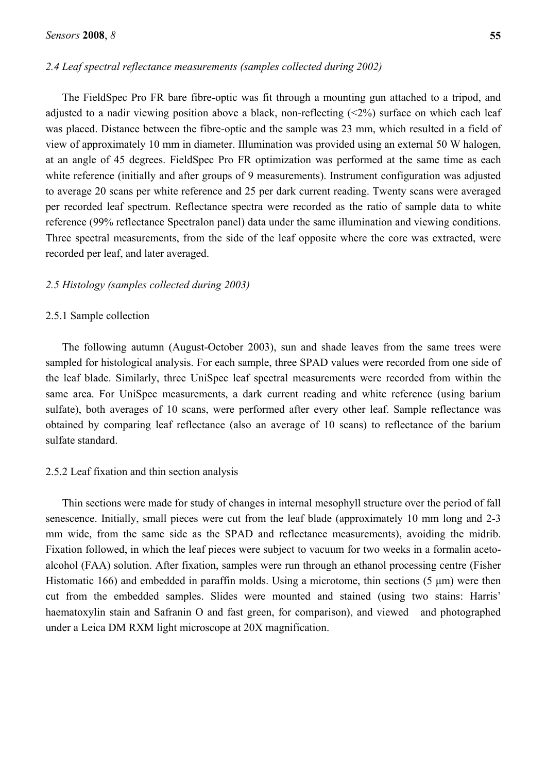# *2.4 Leaf spectral reflectance measurements (samples collected during 2002)*

The FieldSpec Pro FR bare fibre-optic was fit through a mounting gun attached to a tripod, and adjusted to a nadir viewing position above a black, non-reflecting  $(\leq 2\%)$  surface on which each leaf was placed. Distance between the fibre-optic and the sample was 23 mm, which resulted in a field of view of approximately 10 mm in diameter. Illumination was provided using an external 50 W halogen, at an angle of 45 degrees. FieldSpec Pro FR optimization was performed at the same time as each white reference (initially and after groups of 9 measurements). Instrument configuration was adjusted to average 20 scans per white reference and 25 per dark current reading. Twenty scans were averaged per recorded leaf spectrum. Reflectance spectra were recorded as the ratio of sample data to white reference (99% reflectance Spectralon panel) data under the same illumination and viewing conditions. Three spectral measurements, from the side of the leaf opposite where the core was extracted, were recorded per leaf, and later averaged.

#### *2.5 Histology (samples collected during 2003)*

## 2.5.1 Sample collection

The following autumn (August-October 2003), sun and shade leaves from the same trees were sampled for histological analysis. For each sample, three SPAD values were recorded from one side of the leaf blade. Similarly, three UniSpec leaf spectral measurements were recorded from within the same area. For UniSpec measurements, a dark current reading and white reference (using barium sulfate), both averages of 10 scans, were performed after every other leaf. Sample reflectance was obtained by comparing leaf reflectance (also an average of 10 scans) to reflectance of the barium sulfate standard.

# 2.5.2 Leaf fixation and thin section analysis

Thin sections were made for study of changes in internal mesophyll structure over the period of fall senescence. Initially, small pieces were cut from the leaf blade (approximately 10 mm long and 2-3 mm wide, from the same side as the SPAD and reflectance measurements), avoiding the midrib. Fixation followed, in which the leaf pieces were subject to vacuum for two weeks in a formalin acetoalcohol (FAA) solution. After fixation, samples were run through an ethanol processing centre (Fisher Histomatic 166) and embedded in paraffin molds. Using a microtome, thin sections  $(5 \mu m)$  were then cut from the embedded samples. Slides were mounted and stained (using two stains: Harris' haematoxylin stain and Safranin O and fast green, for comparison), and viewed and photographed under a Leica DM RXM light microscope at 20X magnification.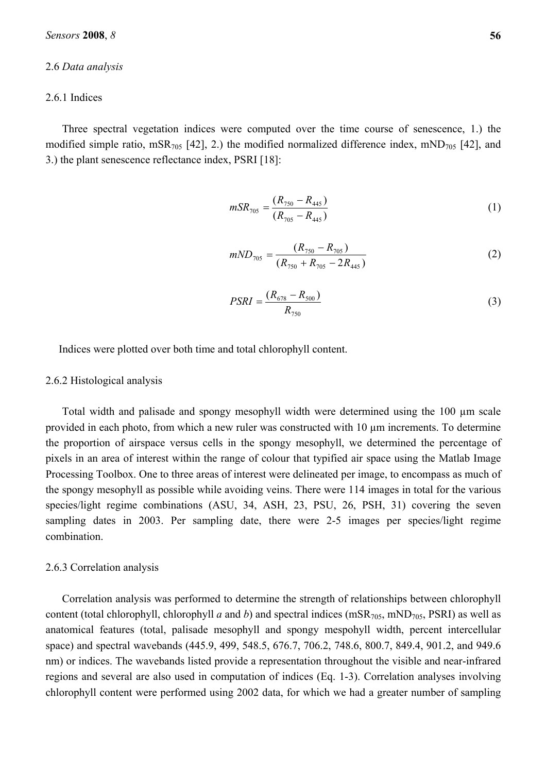## 2.6 *Data analysis*

# 2.6.1 Indices

Three spectral vegetation indices were computed over the time course of senescence, 1.) the modified simple ratio, mSR $_{705}$  [42], 2.) the modified normalized difference index, mND $_{705}$  [42], and 3.) the plant senescence reflectance index, PSRI [18]:

$$
mSR_{705} = \frac{(R_{750} - R_{445})}{(R_{705} - R_{445})}
$$
\n(1)

$$
mND_{705} = \frac{(R_{750} - R_{705})}{(R_{750} + R_{705} - 2R_{445})}
$$
\n(2)

$$
PSRI = \frac{(R_{678} - R_{500})}{R_{750}}
$$
\n(3)

Indices were plotted over both time and total chlorophyll content.

#### 2.6.2 Histological analysis

Total width and palisade and spongy mesophyll width were determined using the 100 µm scale provided in each photo, from which a new ruler was constructed with 10 µm increments. To determine the proportion of airspace versus cells in the spongy mesophyll, we determined the percentage of pixels in an area of interest within the range of colour that typified air space using the Matlab Image Processing Toolbox. One to three areas of interest were delineated per image, to encompass as much of the spongy mesophyll as possible while avoiding veins. There were 114 images in total for the various species/light regime combinations (ASU, 34, ASH, 23, PSU, 26, PSH, 31) covering the seven sampling dates in 2003. Per sampling date, there were 2-5 images per species/light regime combination.

## 2.6.3 Correlation analysis

Correlation analysis was performed to determine the strength of relationships between chlorophyll content (total chlorophyll, chlorophyll *a* and *b*) and spectral indices (mSR<sub>705</sub>, mND<sub>705</sub>, PSRI) as well as anatomical features (total, palisade mesophyll and spongy mespohyll width, percent intercellular space) and spectral wavebands (445.9, 499, 548.5, 676.7, 706.2, 748.6, 800.7, 849.4, 901.2, and 949.6 nm) or indices. The wavebands listed provide a representation throughout the visible and near-infrared regions and several are also used in computation of indices (Eq. 1-3). Correlation analyses involving chlorophyll content were performed using 2002 data, for which we had a greater number of sampling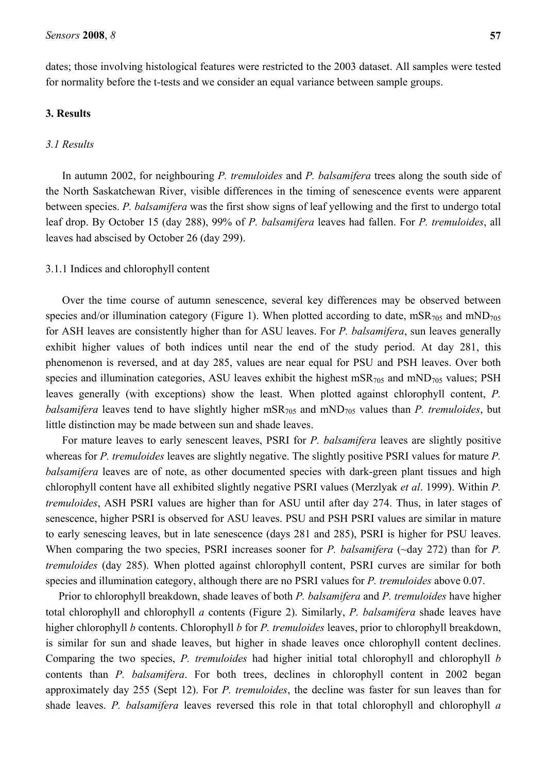dates; those involving histological features were restricted to the 2003 dataset. All samples were tested for normality before the t-tests and we consider an equal variance between sample groups.

# **3. Results**

## *3.1 Results*

In autumn 2002, for neighbouring *P. tremuloides* and *P. balsamifera* trees along the south side of the North Saskatchewan River, visible differences in the timing of senescence events were apparent between species. *P. balsamifera* was the first show signs of leaf yellowing and the first to undergo total leaf drop. By October 15 (day 288), 99% of *P. balsamifera* leaves had fallen. For *P. tremuloides*, all leaves had abscised by October 26 (day 299).

#### 3.1.1 Indices and chlorophyll content

Over the time course of autumn senescence, several key differences may be observed between species and/or illumination category (Figure 1). When plotted according to date,  $mSR_{705}$  and  $mND_{705}$ for ASH leaves are consistently higher than for ASU leaves. For *P. balsamifera*, sun leaves generally exhibit higher values of both indices until near the end of the study period. At day 281, this phenomenon is reversed, and at day 285, values are near equal for PSU and PSH leaves. Over both species and illumination categories, ASU leaves exhibit the highest mSR $_{705}$  and mND $_{705}$  values; PSH leaves generally (with exceptions) show the least. When plotted against chlorophyll content, *P. balsamifera* leaves tend to have slightly higher mSR<sub>705</sub> and mND<sub>705</sub> values than *P. tremuloides*, but little distinction may be made between sun and shade leaves.

For mature leaves to early senescent leaves, PSRI for *P. balsamifera* leaves are slightly positive whereas for *P. tremuloides* leaves are slightly negative. The slightly positive PSRI values for mature *P. balsamifera* leaves are of note, as other documented species with dark-green plant tissues and high chlorophyll content have all exhibited slightly negative PSRI values (Merzlyak *et al*. 1999). Within *P. tremuloides*, ASH PSRI values are higher than for ASU until after day 274. Thus, in later stages of senescence, higher PSRI is observed for ASU leaves. PSU and PSH PSRI values are similar in mature to early senescing leaves, but in late senescence (days 281 and 285), PSRI is higher for PSU leaves. When comparing the two species, PSRI increases sooner for *P. balsamifera* ( $\sim$ day 272) than for *P. tremuloides* (day 285). When plotted against chlorophyll content, PSRI curves are similar for both species and illumination category, although there are no PSRI values for *P. tremuloides* above 0.07.

Prior to chlorophyll breakdown, shade leaves of both *P. balsamifera* and *P. tremuloides* have higher total chlorophyll and chlorophyll *a* contents (Figure 2). Similarly, *P. balsamifera* shade leaves have higher chlorophyll *b* contents. Chlorophyll *b* for *P. tremuloides* leaves, prior to chlorophyll breakdown, is similar for sun and shade leaves, but higher in shade leaves once chlorophyll content declines. Comparing the two species, *P. tremuloides* had higher initial total chlorophyll and chlorophyll *b* contents than *P. balsamifera*. For both trees, declines in chlorophyll content in 2002 began approximately day 255 (Sept 12). For *P. tremuloides*, the decline was faster for sun leaves than for shade leaves. *P. balsamifera* leaves reversed this role in that total chlorophyll and chlorophyll *a*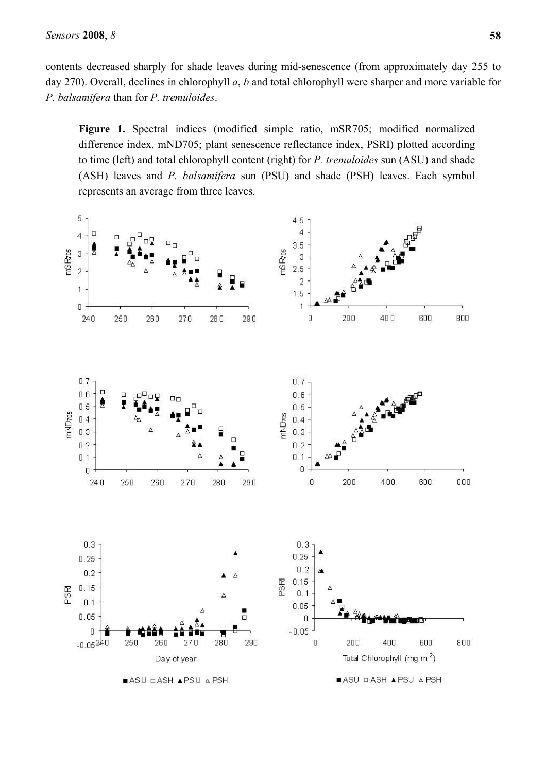contents decreased sharply for shade leaves during mid-senescence (from approximately day 255 to day 270). Overall, declines in chlorophyll *a*, *b* and total chlorophyll were sharper and more variable for *P. balsamifera* than for *P. tremuloides*.

**Figure 1.** Spectral indices (modified simple ratio, mSR705; modified normalized difference index, mND705; plant senescence reflectance index, PSRI) plotted according to time (left) and total chlorophyll content (right) for *P. tremuloides* sun (ASU) and shade (ASH) leaves and *P. balsamifera* sun (PSU) and shade (PSH) leaves. Each symbol represents an average from three leaves.

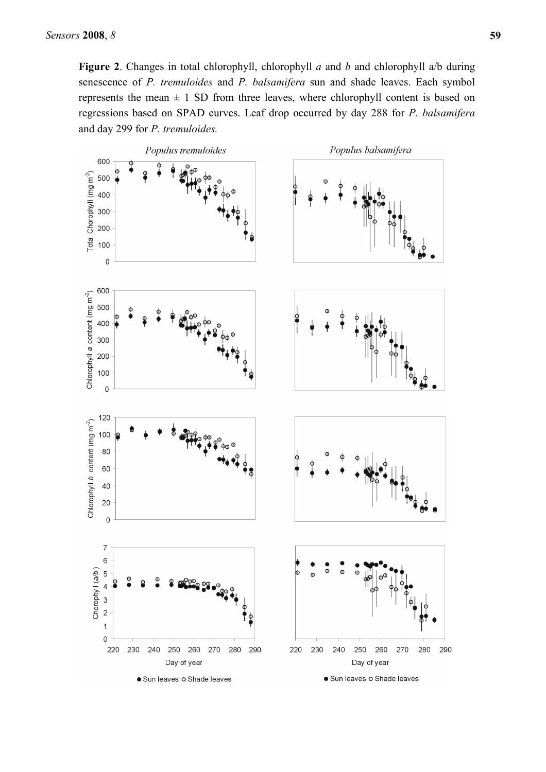**Figure 2**. Changes in total chlorophyll, chlorophyll *a* and *b* and chlorophyll a/b during senescence of *P. tremuloides* and *P. balsamifera* sun and shade leaves. Each symbol represents the mean  $\pm$  1 SD from three leaves, where chlorophyll content is based on regressions based on SPAD curves. Leaf drop occurred by day 288 for *P. balsamifera* and day 299 for *P. tremuloides.*

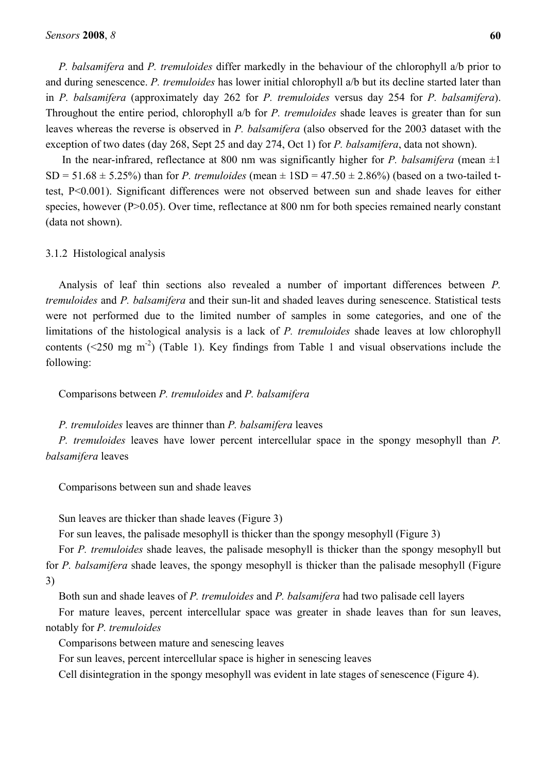*P. balsamifera* and *P. tremuloides* differ markedly in the behaviour of the chlorophyll a/b prior to and during senescence. *P. tremuloides* has lower initial chlorophyll a/b but its decline started later than in *P. balsamifera* (approximately day 262 for *P. tremuloides* versus day 254 for *P. balsamifera*). Throughout the entire period, chlorophyll a/b for *P. tremuloides* shade leaves is greater than for sun leaves whereas the reverse is observed in *P. balsamifera* (also observed for the 2003 dataset with the exception of two dates (day 268, Sept 25 and day 274, Oct 1) for *P. balsamifera*, data not shown).

In the near-infrared, reflectance at 800 nm was significantly higher for *P. balsamifera* (mean  $\pm 1$ ) SD = 51.68  $\pm$  5.25%) than for *P. tremuloides* (mean  $\pm$  1SD = 47.50  $\pm$  2.86%) (based on a two-tailed ttest, P<0.001). Significant differences were not observed between sun and shade leaves for either species, however (P>0.05). Over time, reflectance at 800 nm for both species remained nearly constant (data not shown).

# 3.1.2 Histological analysis

Analysis of leaf thin sections also revealed a number of important differences between *P. tremuloides* and *P. balsamifera* and their sun-lit and shaded leaves during senescence. Statistical tests were not performed due to the limited number of samples in some categories, and one of the limitations of the histological analysis is a lack of *P. tremuloides* shade leaves at low chlorophyll contents ( $\leq$ 250 mg m<sup>-2</sup>) (Table 1). Key findings from Table 1 and visual observations include the following:

Comparisons between *P. tremuloides* and *P. balsamifera*

*P. tremuloides* leaves are thinner than *P. balsamifera* leaves

*P. tremuloides* leaves have lower percent intercellular space in the spongy mesophyll than *P. balsamifera* leaves

Comparisons between sun and shade leaves

Sun leaves are thicker than shade leaves (Figure 3)

For sun leaves, the palisade mesophyll is thicker than the spongy mesophyll (Figure 3)

For *P. tremuloides* shade leaves, the palisade mesophyll is thicker than the spongy mesophyll but for *P. balsamifera* shade leaves, the spongy mesophyll is thicker than the palisade mesophyll (Figure 3)

Both sun and shade leaves of *P. tremuloides* and *P. balsamifera* had two palisade cell layers

For mature leaves, percent intercellular space was greater in shade leaves than for sun leaves, notably for *P. tremuloides*

Comparisons between mature and senescing leaves

For sun leaves, percent intercellular space is higher in senescing leaves

Cell disintegration in the spongy mesophyll was evident in late stages of senescence (Figure 4).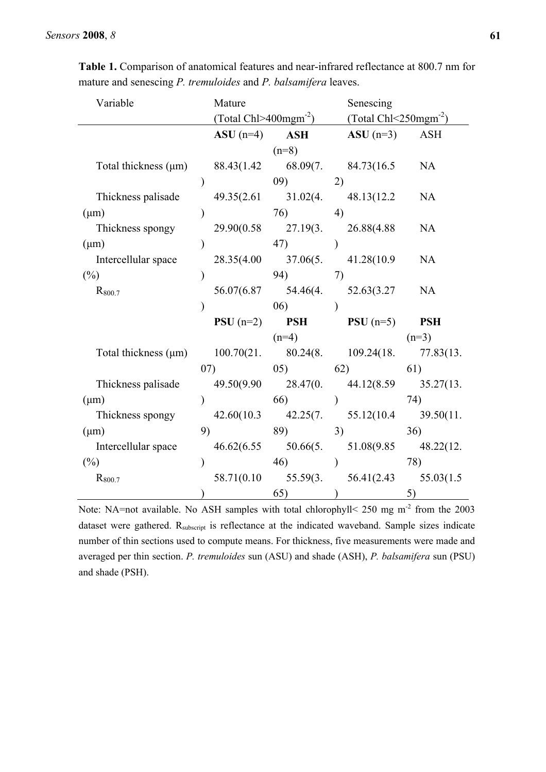| Variable                                                      | Mature        |                              | Senescing                                        |                                                                     |  |
|---------------------------------------------------------------|---------------|------------------------------|--------------------------------------------------|---------------------------------------------------------------------|--|
|                                                               |               |                              |                                                  | (Total Chl>400mgm <sup>-2</sup> ) (Total Chl<250mgm <sup>-2</sup> ) |  |
|                                                               |               | $ASU(n=4)$ ASH               | $ASU(n=3)$ ASH                                   |                                                                     |  |
|                                                               |               | $(n=8)$                      |                                                  |                                                                     |  |
| Total thickness $(\mu m)$                                     |               |                              | $88.43(1.42 \qquad 68.09(7. \qquad 84.73(16.5$   | <b>NA</b>                                                           |  |
|                                                               | $\mathcal{E}$ | (09)                         | 2)                                               |                                                                     |  |
| Thickness palisade                                            |               | $49.35(2.61 \qquad 31.02(4.$ | 48.13(12.2)                                      | NA                                                                  |  |
| $(\mu m)$                                                     |               | $(76)$ 4)                    |                                                  |                                                                     |  |
| Thickness spongy                                              |               |                              | 29.90(0.58 27.19(3. 26.88(4.88                   | <b>NA</b>                                                           |  |
| $(\mu m)$                                                     |               | 47)                          |                                                  |                                                                     |  |
| Intercellular space                                           |               |                              | 28.35(4.00 37.06(5. 41.28(10.9                   | <b>NA</b>                                                           |  |
| $(\%)$                                                        |               | 94)                          | 7)                                               |                                                                     |  |
| $R_{800.7}$                                                   |               |                              | 56.07(6.87 54.46(4. 52.63(3.27                   | NA                                                                  |  |
|                                                               |               | 06)                          |                                                  |                                                                     |  |
|                                                               |               |                              | <b>PSU</b> $(n=2)$ <b>PSH PSU</b> $(n=5)$        | <b>PSH</b>                                                          |  |
|                                                               |               | $(n=4)$                      |                                                  | $(n=3)$                                                             |  |
| Total thickness (µm) 100.70(21. 80.24(8. 109.24(18. 77.83(13. |               |                              |                                                  |                                                                     |  |
|                                                               |               |                              | $(07)$ $(05)$ $(62)$ $(61)$                      |                                                                     |  |
| Thickness palisade                                            |               |                              | 49.50(9.90 28.47(0. 44.12(8.59 35.27(13.         |                                                                     |  |
| $(\mu m)$                                                     | $\mathcal{E}$ | $66)$ )                      |                                                  | 74)                                                                 |  |
| Thickness spongy                                              |               |                              | $42.60(10.3$ $42.25(7.$ $55.12(10.4$ $39.50(11.$ |                                                                     |  |
| $(\mu m)$                                                     | 9)            | 89)                          | 3)                                               | 36)                                                                 |  |
| Intercellular space                                           |               |                              | 46.62(6.55 50.66(5. 51.08(9.85 48.22(12.         |                                                                     |  |
| $(\%)$                                                        | $\mathcal{E}$ | 46)                          | $\lambda$                                        | 78)                                                                 |  |
| R <sub>800.7</sub>                                            |               |                              | $58.71(0.10$ $55.59(3.56.41(2.43$                | 55.03(1.5)                                                          |  |
|                                                               | $\mathcal{L}$ | 65)                          |                                                  | 5)                                                                  |  |

**Table 1.** Comparison of anatomical features and near-infrared reflectance at 800.7 nm for mature and senescing *P. tremuloides* and *P. balsamifera* leaves.

Note: NA=not available. No ASH samples with total chlorophyll< 250 mg m<sup>-2</sup> from the 2003 dataset were gathered. R<sub>subscript</sub> is reflectance at the indicated waveband. Sample sizes indicate number of thin sections used to compute means. For thickness, five measurements were made and averaged per thin section. *P. tremuloides* sun (ASU) and shade (ASH), *P. balsamifera* sun (PSU) and shade (PSH).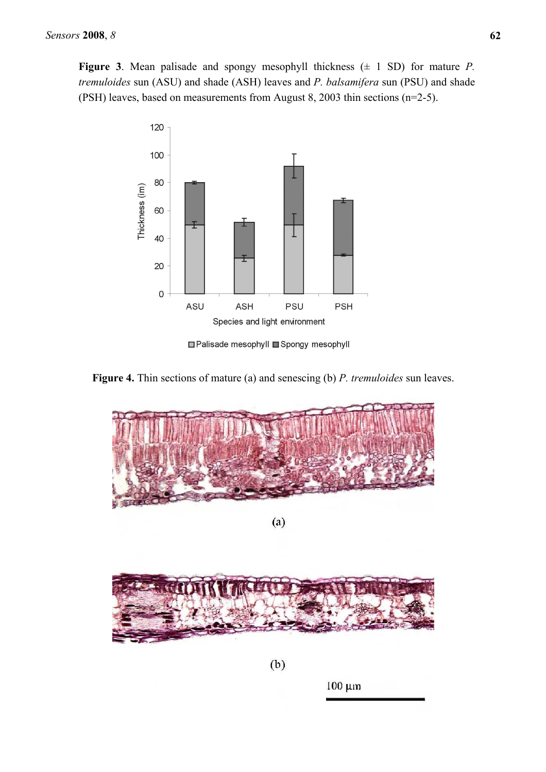**Figure 3**. Mean palisade and spongy mesophyll thickness  $(± 1 SD)$  for mature *P*. *tremuloides* sun (ASU) and shade (ASH) leaves and *P. balsamifera* sun (PSU) and shade (PSH) leaves, based on measurements from August 8, 2003 thin sections (n=2-5).



□ Palisade mesophyll ■ Spongy mesophyll



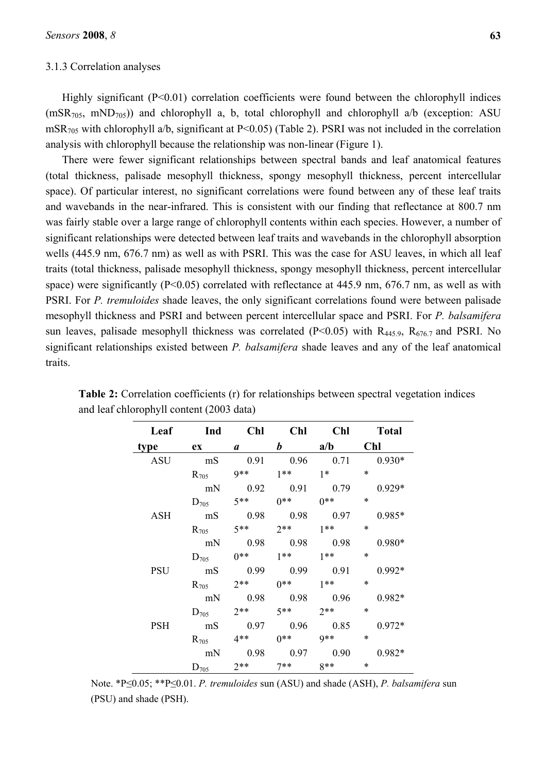#### 3.1.3 Correlation analyses

Highly significant (P<0.01) correlation coefficients were found between the chlorophyll indices  $(mSR<sub>705</sub>, mND<sub>705</sub>)$  and chlorophyll a, b, total chlorophyll and chlorophyll a/b (exception: ASU mSR705 with chlorophyll a/b, significant at P<0.05) (Table 2). PSRI was not included in the correlation analysis with chlorophyll because the relationship was non-linear (Figure 1).

There were fewer significant relationships between spectral bands and leaf anatomical features (total thickness, palisade mesophyll thickness, spongy mesophyll thickness, percent intercellular space). Of particular interest, no significant correlations were found between any of these leaf traits and wavebands in the near-infrared. This is consistent with our finding that reflectance at 800.7 nm was fairly stable over a large range of chlorophyll contents within each species. However, a number of significant relationships were detected between leaf traits and wavebands in the chlorophyll absorption wells (445.9 nm, 676.7 nm) as well as with PSRI. This was the case for ASU leaves, in which all leaf traits (total thickness, palisade mesophyll thickness, spongy mesophyll thickness, percent intercellular space) were significantly (P<0.05) correlated with reflectance at 445.9 nm, 676.7 nm, as well as with PSRI. For *P. tremuloides* shade leaves, the only significant correlations found were between palisade mesophyll thickness and PSRI and between percent intercellular space and PSRI. For *P. balsamifera* sun leaves, palisade mesophyll thickness was correlated ( $P<0.05$ ) with  $R_{445.9}$ ,  $R_{676.7}$  and PSRI. No significant relationships existed between *P. balsamifera* shade leaves and any of the leaf anatomical traits.

| Leaf       | <b>Ind</b> | Chl     |           |                      | Chl Chl Total |
|------------|------------|---------|-----------|----------------------|---------------|
| type       | $ex$ a     |         |           | $b$ a/b              | Chl           |
| <b>ASU</b> | mS         |         |           | $0.91$ $0.96$ $0.71$ | $0.930*$      |
|            | $R_{705}$  | 9** 1** |           | $1*$                 | $\ast$        |
|            | mN         |         |           | $0.92$ $0.91$ $0.79$ | $0.929*$      |
|            | $D_{705}$  | $5**$   | $0^{**}$  | $0***$               | $\ast$        |
| <b>ASH</b> | mS         | 0.98    | 0.98      | 0.97                 | $0.985*$      |
|            | $R_{705}$  | $5**$   | $2**$     | $1**$                | $\ast$        |
|            | mN         | 0.98    | 0.98 0.98 |                      | $0.980*$      |
|            | $D_{705}$  | $0$ **  | $1**$     | $1**$                | $\ast$        |
| <b>PSU</b> | mS         |         | 0.9900.99 | 0.91                 | $0.992*$      |
|            | $R_{705}$  | $2**$   | $0^{**}$  | $1**$                | $\ast$        |
|            | mN         | 0.98    | 0.98      | 0.96                 | $0.982*$      |
|            | $D_{705}$  | $2**$   | $5**$     | $2**$                | $\ast$        |
| <b>PSH</b> | mS         | 0.97    | 0.96      | 0.85                 | $0.972*$      |
|            | $R_{705}$  | $4**$   | $0$ **    | $9**$                | *             |
|            | mN         | 0.98    | 0.97      | 0.90                 | $0.982*$      |
|            | $D_{705}$  | $2**$   | $7**$     | $8**$                | $\ast$        |

**Table 2:** Correlation coefficients (r) for relationships between spectral vegetation indices and leaf chlorophyll content (2003 data)

Note. \*P≤0.05; \*\*P≤0.01. *P. tremuloides* sun (ASU) and shade (ASH), *P. balsamifera* sun (PSU) and shade (PSH).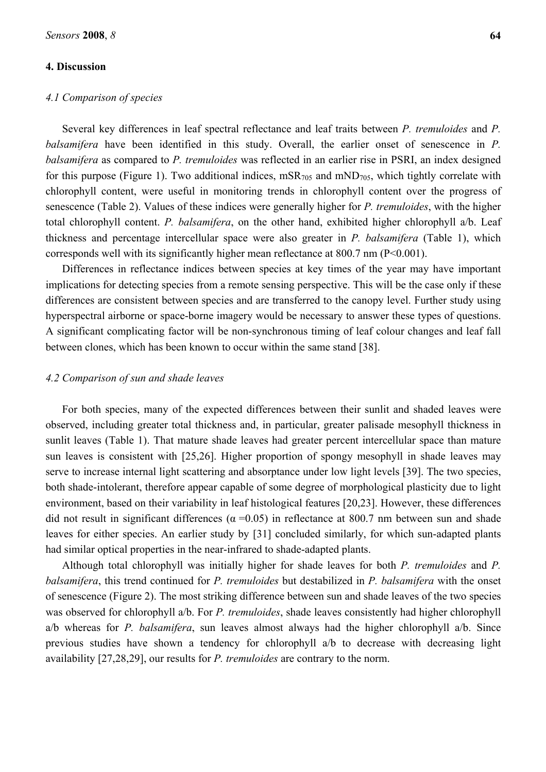# **4. Discussion**

## *4.1 Comparison of species*

Several key differences in leaf spectral reflectance and leaf traits between *P. tremuloides* and *P. balsamifera* have been identified in this study. Overall, the earlier onset of senescence in *P. balsamifera* as compared to *P. tremuloides* was reflected in an earlier rise in PSRI, an index designed for this purpose (Figure 1). Two additional indices,  $mSR_{705}$  and  $mND_{705}$ , which tightly correlate with chlorophyll content, were useful in monitoring trends in chlorophyll content over the progress of senescence (Table 2). Values of these indices were generally higher for *P. tremuloides*, with the higher total chlorophyll content. *P. balsamifera*, on the other hand, exhibited higher chlorophyll a/b. Leaf thickness and percentage intercellular space were also greater in *P. balsamifera* (Table 1), which corresponds well with its significantly higher mean reflectance at 800.7 nm (P<0.001).

Differences in reflectance indices between species at key times of the year may have important implications for detecting species from a remote sensing perspective. This will be the case only if these differences are consistent between species and are transferred to the canopy level. Further study using hyperspectral airborne or space-borne imagery would be necessary to answer these types of questions. A significant complicating factor will be non-synchronous timing of leaf colour changes and leaf fall between clones, which has been known to occur within the same stand [38].

## *4.2 Comparison of sun and shade leaves*

For both species, many of the expected differences between their sunlit and shaded leaves were observed, including greater total thickness and, in particular, greater palisade mesophyll thickness in sunlit leaves (Table 1). That mature shade leaves had greater percent intercellular space than mature sun leaves is consistent with [25,26]. Higher proportion of spongy mesophyll in shade leaves may serve to increase internal light scattering and absorptance under low light levels [39]. The two species, both shade-intolerant, therefore appear capable of some degree of morphological plasticity due to light environment, based on their variability in leaf histological features [20,23]. However, these differences did not result in significant differences ( $\alpha$  =0.05) in reflectance at 800.7 nm between sun and shade leaves for either species. An earlier study by [31] concluded similarly, for which sun-adapted plants had similar optical properties in the near-infrared to shade-adapted plants.

Although total chlorophyll was initially higher for shade leaves for both *P. tremuloides* and *P. balsamifera*, this trend continued for *P. tremuloides* but destabilized in *P. balsamifera* with the onset of senescence (Figure 2). The most striking difference between sun and shade leaves of the two species was observed for chlorophyll a/b. For *P. tremuloides*, shade leaves consistently had higher chlorophyll a/b whereas for *P. balsamifera*, sun leaves almost always had the higher chlorophyll a/b. Since previous studies have shown a tendency for chlorophyll a/b to decrease with decreasing light availability [27,28,29], our results for *P. tremuloides* are contrary to the norm.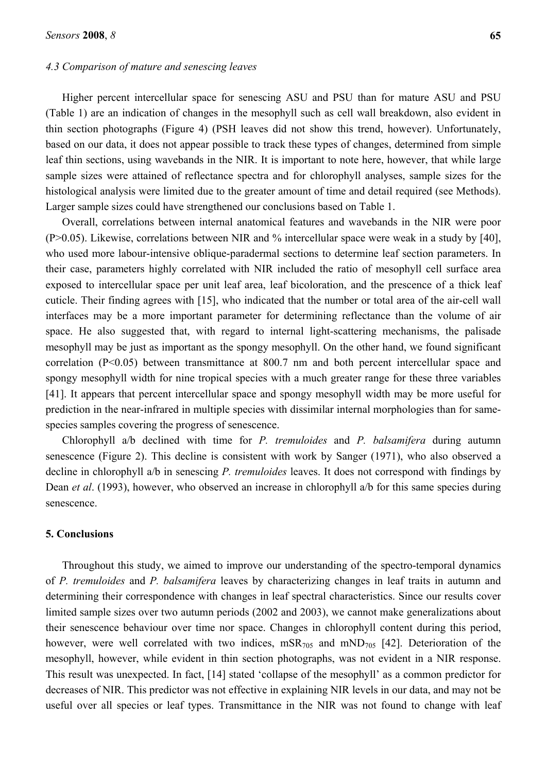# *4.3 Comparison of mature and senescing leaves*

Higher percent intercellular space for senescing ASU and PSU than for mature ASU and PSU (Table 1) are an indication of changes in the mesophyll such as cell wall breakdown, also evident in thin section photographs (Figure 4) (PSH leaves did not show this trend, however). Unfortunately, based on our data, it does not appear possible to track these types of changes, determined from simple leaf thin sections, using wavebands in the NIR. It is important to note here, however, that while large sample sizes were attained of reflectance spectra and for chlorophyll analyses, sample sizes for the histological analysis were limited due to the greater amount of time and detail required (see Methods). Larger sample sizes could have strengthened our conclusions based on Table 1.

Overall, correlations between internal anatomical features and wavebands in the NIR were poor (P>0.05). Likewise, correlations between NIR and % intercellular space were weak in a study by [40], who used more labour-intensive oblique-paradermal sections to determine leaf section parameters. In their case, parameters highly correlated with NIR included the ratio of mesophyll cell surface area exposed to intercellular space per unit leaf area, leaf bicoloration, and the prescence of a thick leaf cuticle. Their finding agrees with [15], who indicated that the number or total area of the air-cell wall interfaces may be a more important parameter for determining reflectance than the volume of air space. He also suggested that, with regard to internal light-scattering mechanisms, the palisade mesophyll may be just as important as the spongy mesophyll. On the other hand, we found significant correlation (P<0.05) between transmittance at 800.7 nm and both percent intercellular space and spongy mesophyll width for nine tropical species with a much greater range for these three variables [41]. It appears that percent intercellular space and spongy mesophyll width may be more useful for prediction in the near-infrared in multiple species with dissimilar internal morphologies than for samespecies samples covering the progress of senescence.

Chlorophyll a/b declined with time for *P. tremuloides* and *P. balsamifera* during autumn senescence (Figure 2). This decline is consistent with work by Sanger (1971), who also observed a decline in chlorophyll a/b in senescing *P. tremuloides* leaves. It does not correspond with findings by Dean *et al*. (1993), however, who observed an increase in chlorophyll a/b for this same species during senescence.

# **5. Conclusions**

Throughout this study, we aimed to improve our understanding of the spectro-temporal dynamics of *P. tremuloides* and *P. balsamifera* leaves by characterizing changes in leaf traits in autumn and determining their correspondence with changes in leaf spectral characteristics. Since our results cover limited sample sizes over two autumn periods (2002 and 2003), we cannot make generalizations about their senescence behaviour over time nor space. Changes in chlorophyll content during this period, however, were well correlated with two indices,  $mSR_{705}$  and  $mND_{705}$  [42]. Deterioration of the mesophyll, however, while evident in thin section photographs, was not evident in a NIR response. This result was unexpected. In fact, [14] stated 'collapse of the mesophyll' as a common predictor for decreases of NIR. This predictor was not effective in explaining NIR levels in our data, and may not be useful over all species or leaf types. Transmittance in the NIR was not found to change with leaf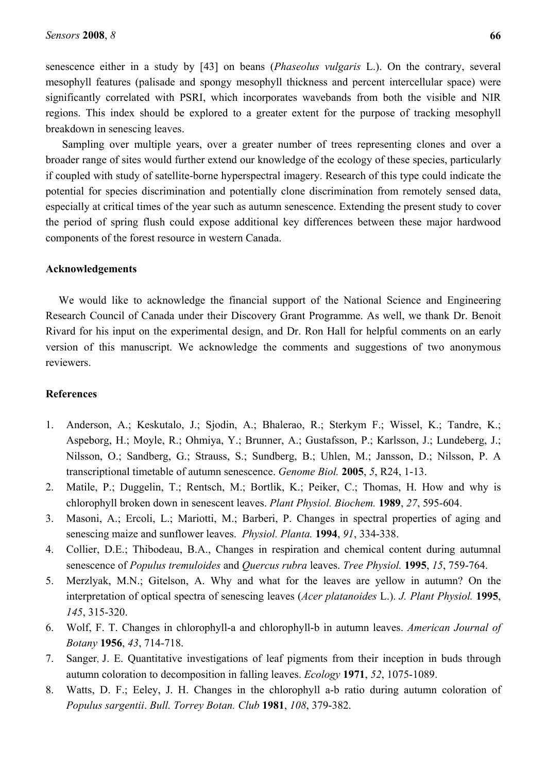senescence either in a study by [43] on beans (*Phaseolus vulgaris* L.). On the contrary, several mesophyll features (palisade and spongy mesophyll thickness and percent intercellular space) were significantly correlated with PSRI, which incorporates wavebands from both the visible and NIR regions. This index should be explored to a greater extent for the purpose of tracking mesophyll breakdown in senescing leaves.

Sampling over multiple years, over a greater number of trees representing clones and over a broader range of sites would further extend our knowledge of the ecology of these species, particularly if coupled with study of satellite-borne hyperspectral imagery. Research of this type could indicate the potential for species discrimination and potentially clone discrimination from remotely sensed data, especially at critical times of the year such as autumn senescence. Extending the present study to cover the period of spring flush could expose additional key differences between these major hardwood components of the forest resource in western Canada.

#### **Acknowledgements**

We would like to acknowledge the financial support of the National Science and Engineering Research Council of Canada under their Discovery Grant Programme. As well, we thank Dr. Benoit Rivard for his input on the experimental design, and Dr. Ron Hall for helpful comments on an early version of this manuscript. We acknowledge the comments and suggestions of two anonymous reviewers.

#### **References**

- 1. Anderson, A.; Keskutalo, J.; Sjodin, A.; Bhalerao, R.; Sterkym F.; Wissel, K.; Tandre, K.; Aspeborg, H.; Moyle, R.; Ohmiya, Y.; Brunner, A.; Gustafsson, P.; Karlsson, J.; Lundeberg, J.; Nilsson, O.; Sandberg, G.; Strauss, S.; Sundberg, B.; Uhlen, M.; Jansson, D.; Nilsson, P. A transcriptional timetable of autumn senescence. *Genome Biol.* **2005**, *5*, R24, 1-13.
- 2. Matile, P.; Duggelin, T.; Rentsch, M.; Bortlik, K.; Peiker, C.; Thomas, H. How and why is chlorophyll broken down in senescent leaves. *Plant Physiol. Biochem.* **1989**, *27*, 595-604.
- 3. Masoni, A.; Ercoli, L.; Mariotti, M.; Barberi, P. Changes in spectral properties of aging and senescing maize and sunflower leaves. *Physiol. Planta.* **1994**, *91*, 334-338.
- 4. Collier, D.E.; Thibodeau, B.A., Changes in respiration and chemical content during autumnal senescence of *Populus tremuloides* and *Quercus rubra* leaves. *Tree Physiol.* **1995**, *15*, 759-764.
- 5. Merzlyak, M.N.; Gitelson, A. Why and what for the leaves are yellow in autumn? On the interpretation of optical spectra of senescing leaves (*Acer platanoides* L.). *J. Plant Physiol.* **1995**, *145*, 315-320.
- 6. Wolf, F. T. Changes in chlorophyll-a and chlorophyll-b in autumn leaves. *American Journal of Botany* **1956**, *43*, 714-718.
- 7. Sanger, J. E. Quantitative investigations of leaf pigments from their inception in buds through autumn coloration to decomposition in falling leaves. *Ecology* **1971**, *52*, 1075-1089.
- 8. Watts, D. F.; Eeley, J. H. Changes in the chlorophyll a-b ratio during autumn coloration of *Populus sargentii*. *Bull. Torrey Botan. Club* **1981**, *108*, 379-382.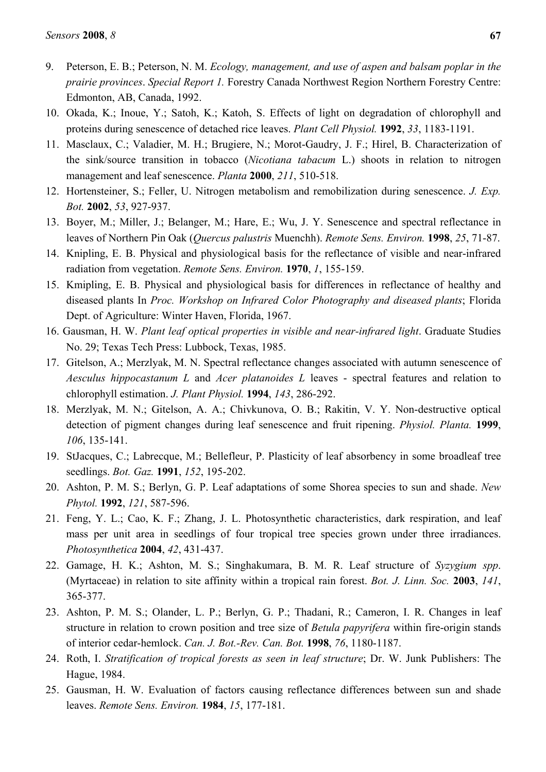- 9. Peterson, E. B.; Peterson, N. M. *Ecology, management, and use of aspen and balsam poplar in the prairie provinces*. *Special Report 1.* Forestry Canada Northwest Region Northern Forestry Centre: Edmonton, AB, Canada, 1992.
- 10. Okada, K.; Inoue, Y.; Satoh, K.; Katoh, S. Effects of light on degradation of chlorophyll and proteins during senescence of detached rice leaves. *Plant Cell Physiol.* **1992**, *33*, 1183-1191.
- 11. Masclaux, C.; Valadier, M. H.; Brugiere, N.; Morot-Gaudry, J. F.; Hirel, B. Characterization of the sink/source transition in tobacco (*Nicotiana tabacum* L.) shoots in relation to nitrogen management and leaf senescence. *Planta* **2000**, *211*, 510-518.
- 12. Hortensteiner, S.; Feller, U. Nitrogen metabolism and remobilization during senescence. *J. Exp. Bot.* **2002**, *53*, 927-937.
- 13. Boyer, M.; Miller, J.; Belanger, M.; Hare, E.; Wu, J. Y. Senescence and spectral reflectance in leaves of Northern Pin Oak (*Quercus palustris* Muenchh). *Remote Sens. Environ.* **1998**, *25*, 71-87.
- 14. Knipling, E. B. Physical and physiological basis for the reflectance of visible and near-infrared radiation from vegetation. *Remote Sens. Environ.* **1970**, *1*, 155-159.
- 15. Kmipling, E. B. Physical and physiological basis for differences in reflectance of healthy and diseased plants In *Proc. Workshop on Infrared Color Photography and diseased plants*; Florida Dept. of Agriculture: Winter Haven, Florida, 1967.
- 16. Gausman, H. W. *Plant leaf optical properties in visible and near-infrared light*. Graduate Studies No. 29; Texas Tech Press: Lubbock, Texas, 1985.
- 17. Gitelson, A.; Merzlyak, M. N. Spectral reflectance changes associated with autumn senescence of *Aesculus hippocastanum L* and *Acer platanoides L* leaves - spectral features and relation to chlorophyll estimation. *J. Plant Physiol.* **1994**, *143*, 286-292.
- 18. Merzlyak, M. N.; Gitelson, A. A.; Chivkunova, O. B.; Rakitin, V. Y. Non-destructive optical detection of pigment changes during leaf senescence and fruit ripening. *Physiol. Planta.* **1999**, *106*, 135-141.
- 19. StJacques, C.; Labrecque, M.; Bellefleur, P. Plasticity of leaf absorbency in some broadleaf tree seedlings. *Bot. Gaz.* **1991**, *152*, 195-202.
- 20. Ashton, P. M. S.; Berlyn, G. P. Leaf adaptations of some Shorea species to sun and shade. *New Phytol.* **1992**, *121*, 587-596.
- 21. Feng, Y. L.; Cao, K. F.; Zhang, J. L. Photosynthetic characteristics, dark respiration, and leaf mass per unit area in seedlings of four tropical tree species grown under three irradiances. *Photosynthetica* **2004**, *42*, 431-437.
- 22. Gamage, H. K.; Ashton, M. S.; Singhakumara, B. M. R. Leaf structure of *Syzygium spp*. (Myrtaceae) in relation to site affinity within a tropical rain forest. *Bot. J. Linn. Soc.* **2003**, *141*, 365-377.
- 23. Ashton, P. M. S.; Olander, L. P.; Berlyn, G. P.; Thadani, R.; Cameron, I. R. Changes in leaf structure in relation to crown position and tree size of *Betula papyrifera* within fire-origin stands of interior cedar-hemlock. *Can. J. Bot.-Rev. Can. Bot.* **1998**, *76*, 1180-1187.
- 24. Roth, I. *Stratification of tropical forests as seen in leaf structure*; Dr. W. Junk Publishers: The Hague, 1984.
- 25. Gausman, H. W. Evaluation of factors causing reflectance differences between sun and shade leaves. *Remote Sens. Environ.* **1984**, *15*, 177-181.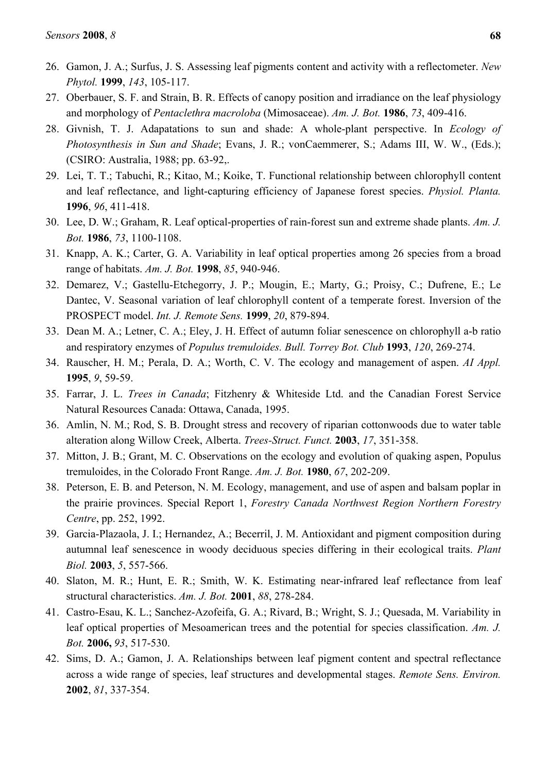- 26. Gamon, J. A.; Surfus, J. S. Assessing leaf pigments content and activity with a reflectometer. *New Phytol.* **1999**, *143*, 105-117.
- 27. Oberbauer, S. F. and Strain, B. R. Effects of canopy position and irradiance on the leaf physiology and morphology of *Pentaclethra macroloba* (Mimosaceae). *Am. J. Bot.* **1986**, *73*, 409-416.
- 28. Givnish, T. J. Adapatations to sun and shade: A whole-plant perspective. In *Ecology of Photosynthesis in Sun and Shade*; Evans, J. R.; vonCaemmerer, S.; Adams III, W. W., (Eds.); (CSIRO: Australia, 1988; pp. 63-92,.
- 29. Lei, T. T.; Tabuchi, R.; Kitao, M.; Koike, T. Functional relationship between chlorophyll content and leaf reflectance, and light-capturing efficiency of Japanese forest species. *Physiol. Planta.* **1996**, *96*, 411-418.
- 30. Lee, D. W.; Graham, R. Leaf optical-properties of rain-forest sun and extreme shade plants. *Am. J. Bot.* **1986**, *73*, 1100-1108.
- 31. Knapp, A. K.; Carter, G. A. Variability in leaf optical properties among 26 species from a broad range of habitats. *Am. J. Bot.* **1998**, *85*, 940-946.
- 32. Demarez, V.; Gastellu-Etchegorry, J. P.; Mougin, E.; Marty, G.; Proisy, C.; Dufrene, E.; Le Dantec, V. Seasonal variation of leaf chlorophyll content of a temperate forest. Inversion of the PROSPECT model. *Int. J. Remote Sens.* **1999**, *20*, 879-894.
- 33. Dean M. A.; Letner, C. A.; Eley, J. H. Effect of autumn foliar senescence on chlorophyll a-b ratio and respiratory enzymes of *Populus tremuloides. Bull. Torrey Bot. Club* **1993**, *120*, 269-274.
- 34. Rauscher, H. M.; Perala, D. A.; Worth, C. V. The ecology and management of aspen. *AI Appl.* **1995**, *9*, 59-59.
- 35. Farrar, J. L. *Trees in Canada*; Fitzhenry & Whiteside Ltd. and the Canadian Forest Service Natural Resources Canada: Ottawa, Canada, 1995.
- 36. Amlin, N. M.; Rod, S. B. Drought stress and recovery of riparian cottonwoods due to water table alteration along Willow Creek, Alberta. *Trees-Struct. Funct.* **2003**, *17*, 351-358.
- 37. Mitton, J. B.; Grant, M. C. Observations on the ecology and evolution of quaking aspen, Populus tremuloides, in the Colorado Front Range. *Am. J. Bot.* **1980**, *67*, 202-209.
- 38. Peterson, E. B. and Peterson, N. M. Ecology, management, and use of aspen and balsam poplar in the prairie provinces. Special Report 1, *Forestry Canada Northwest Region Northern Forestry Centre*, pp. 252, 1992.
- 39. Garcia-Plazaola, J. I.; Hernandez, A.; Becerril, J. M. Antioxidant and pigment composition during autumnal leaf senescence in woody deciduous species differing in their ecological traits. *Plant Biol.* **2003**, *5*, 557-566.
- 40. Slaton, M. R.; Hunt, E. R.; Smith, W. K. Estimating near-infrared leaf reflectance from leaf structural characteristics. *Am. J. Bot.* **2001**, *88*, 278-284.
- 41. Castro-Esau, K. L.; Sanchez-Azofeifa, G. A.; Rivard, B.; Wright, S. J.; Quesada, M. Variability in leaf optical properties of Mesoamerican trees and the potential for species classification. *Am. J. Bot.* **2006,** *93*, 517-530.
- 42. Sims, D. A.; Gamon, J. A. Relationships between leaf pigment content and spectral reflectance across a wide range of species, leaf structures and developmental stages. *Remote Sens. Environ.* **2002**, *81*, 337-354.